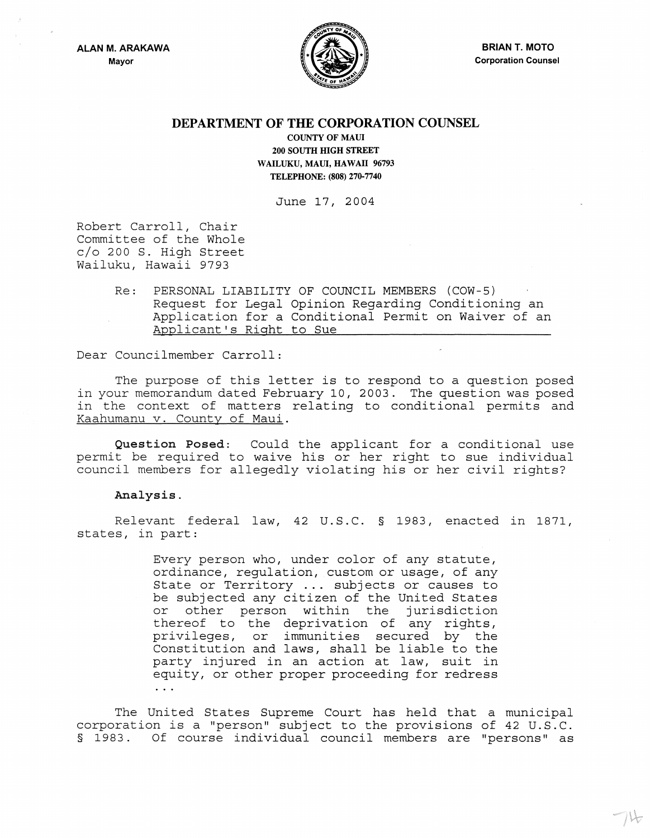

 $\neg \mathcal{V}$ 

## **DEPARTMENT OF THE CORPORATION COUNSEL**

COUNTY OF MAUl 200 SOUTH HIGH STREET WAILUKU, MAUl, HAWAII 96793 TELEPHONE: (808) 270-7740

June 17, 2004

Robert Carroll, Chair Committee of the Whole c/o 200 S. High Street Wailuku, Hawaii 9793

> Re: PERSONAL LIABILITY OF COUNCIL MEMBERS (COW-5) Request for Legal Opinion Regarding Conditioning an Application for a Conditional Permit on Waiver of an Applicant's Right to Sue

Dear Councilmember Carroll:

The purpose of this letter is to respond to a question posed in your memorandum dated February 10, 2003. The question was posed in the context of matters relating to conditional permits and Kaahumanu v. County of Maui.

Question Posed: Could the applicant for a conditional use permit be required to waive his or her right to sue individual council members for allegedly violating his or her civil rights?

## Analysis.

Relevant federal law, 42 U.S.C. § 1983, enacted in 1871, states, in part:

> Every person who, under color of any statute, ordinance, regulation, custom or usage, of any State or Territory ... subjects or causes to be subjected any citizen of the United States or other person within the jurisdiction thereof to the deprivation of any rights, privileges, or immunities secured by the Constitution and laws, shall be liable to the party injured in an action at law, suit in equity, or other proper proceeding for redress  $\ddotsc$

The United States Supreme Court has held that a municipal corporation is a "person" subject to the provisions of 42 U.S.C. § 1983. Of course individual council members are "persons" as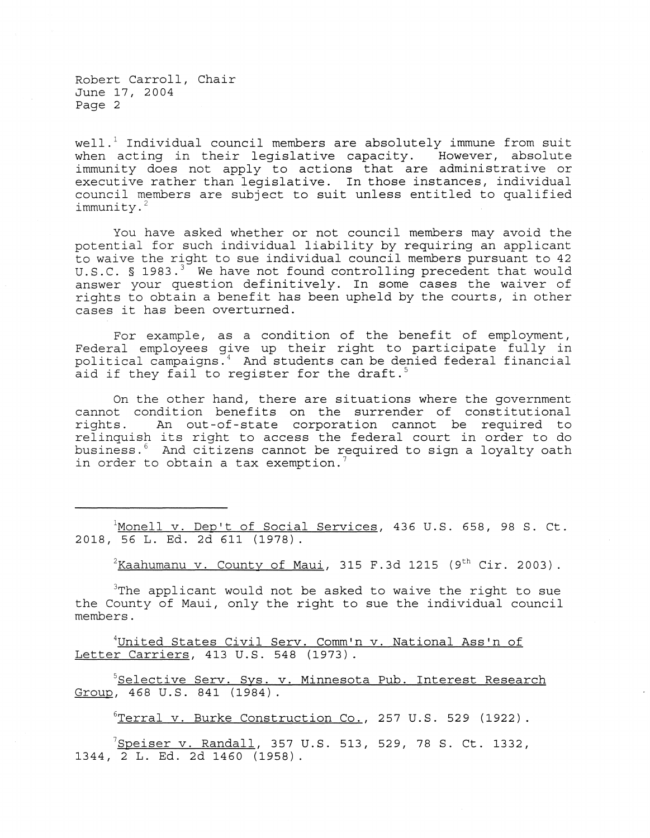Robert Carroll, Chair June 17, 2004 Page 2

well.<sup>1</sup> Individual council members are absolutely immune from suit when acting in their legislative capacity. However, absolute immunity does not apply to actions that are administrative or executive rather than legislative. In those instances, individual council members are subject to suit unless entitled to qualified immunity. 2

You have asked whether or not council members may avoid the potential for such individual liability by requiring an applicant to waive the right to sue individual council members pursuant to 42 U.S.C.  $\S$  1983.<sup>3</sup> We have not found controlling precedent that would answer your question definitively. In some cases the waiver of rights to obtain a benefit has been upheld by the courts, in other cases it has been overturned.

For example, as a condition of the benefit of employment, Federal employees give up their right to participate fully in political campaigns. 4 And students can be denied federal financial aid if they fail to register for the draft.<sup>5</sup>

On the other hand, there are situations where the government cannot condition benefits on the surrender of constitutional<br>rights. An out-of-state corporation cannot be required to An out-of-state corporation cannot be required to relinquish its right to access the federal court in order to do business. 6 And citizens cannot be required to sign a loyalty oath in order to obtain a tax exemption.<sup>7</sup>

 $1$ Monell v. Dep't of Social Services, 436 U.S. 658, 98 S. Ct. 2018, 56 L. Ed. 2d 611 (1978).

 $2$ Kaahumanu v. County of Maui, 315 F.3d 1215 (9<sup>th</sup> Cir. 2003).

 $3$ The applicant would not be asked to waive the right to sue the County of Maui, only the right to sue the individual council members.

<sup>4</sup>United States Civil Serv. Comm'n v. National Ass'n of Letter Carriers, 413 U.S. 548 (1973).

<sup>5</sup>Selective Serv. Sys. v. Minnesota Pub. Interest Research Group, 468 U.S. 841 (1984).

 $6$ Terral v. Burke Construction Co., 257 U.S. 529 (1922).

 $^7$ Speiser v. Randall, 357 U.S. 513, 529, 78 S. Ct. 1332, 1344, 2 L. Ed. 2d 1460 (1958)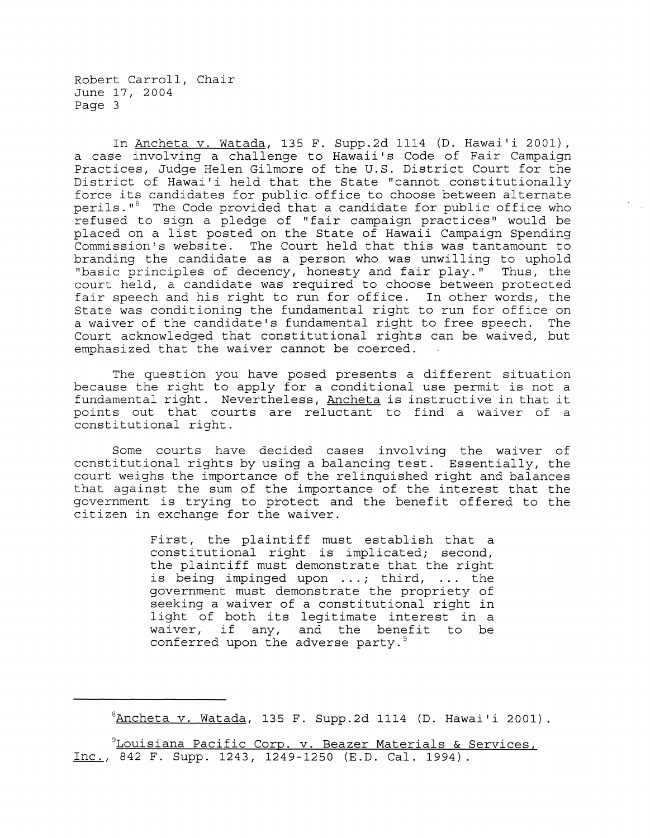Robert Carroll, Chair June 17, 2004 Page 3

In Ancheta v. Watada, 135 F. Supp.2d 1114 (D. Hawai'i 2001), a case involving a challenge to Hawaii's Code of Fair Campaign Practices, Judge Helen Gilmore of the U.S. District Court for the District of Hawai'i held that the State "cannot constitutionally force its candidates for public office to choose between alternate perils."<sup>8</sup> The Code provided that a candidate for public office who refused to sign a pledge of "fair campaign practices" would be placed on a list posted on the State of Hawaii Campaign Spending Commission's website. The Court held that this was tantamount to branding the candidate as a person who was unwilling to uphold "basic principles of decency, honesty and fair play." Thus, the court held, a candidate was required to choose between protected fair speech and his right to run for office. In other words, the State was conditioning the fundamental right to run for office on a waiver of the candidate's fundamental right to free speech. The Court acknowledged that constitutional rights can be waived, but emphasized that the waiver cannot be coerced.

The question you have posed presents a different situation because the right to apply for a conditional use permit is not a fundamental right. Nevertheless, Ancheta is instructive in that it points out that courts are reluctant to find a waiver of a constitutional right.

Some courts have decided cases involving the waiver of constitutional rights by using a balancing test. Essentially, the court weighs the importance of the relinquished right and balances that against the sum of the importance of the interest that the government is trying to protect and the benefit offered to the citizen in exchange for the waiver.

> First, the plaintiff must establish that a constitutional right is implicated; second, the plaintiff must demonstrate that the right is being impinged upon ...; third, ... the government must demonstrate the propriety of seeking a waiver of a constitutional right in light of both its legitimate interest in a waiver, if any, and the benefit to be conferred upon the adverse party.<sup>9</sup>

 ${}^{8}$ Ancheta v. Watada, 135 F. Supp.2d 1114 (D. Hawai'i 2001).

9Louisiana Pacific Corp. v. Beazer Materials & Services, Inc., 842 F. Supp. 1243, 1249-1250 (E.D. Cal. 1994).